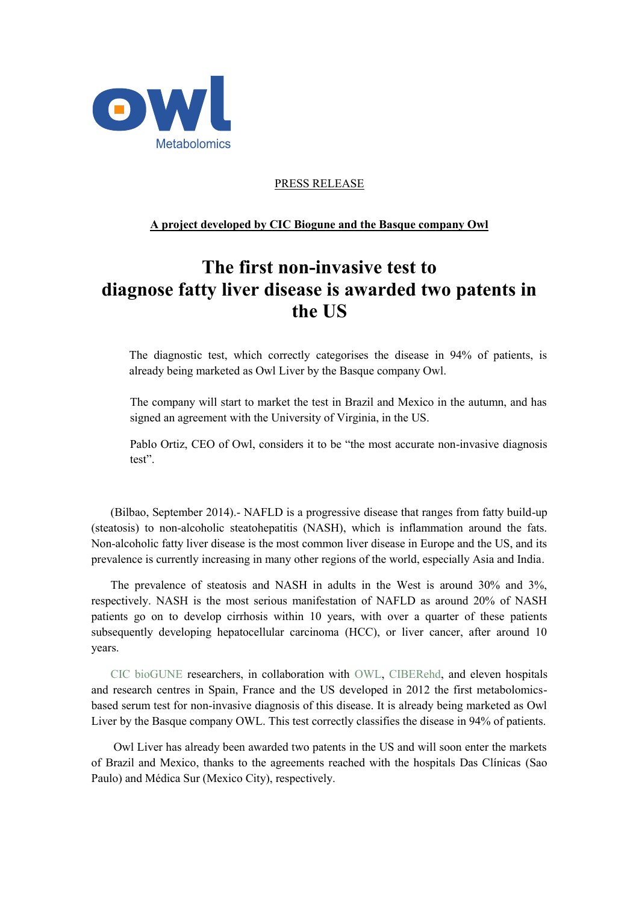

PRESS RELEASE

## **A project developed by CIC Biogune and the Basque company Owl**

## **The first non-invasive test to diagnose fatty liver disease is awarded two patents in the US**

The diagnostic test, which correctly categorises the disease in 94% of patients, is already being marketed as Owl Liver by the Basque company Owl.

The company will start to market the test in Brazil and Mexico in the autumn, and has signed an agreement with the University of Virginia, in the US.

Pablo Ortiz, CEO of Owl, considers it to be "the most accurate non-invasive diagnosis test".

(Bilbao, September 2014).- NAFLD is a progressive disease that ranges from fatty build-up (steatosis) to non-alcoholic steatohepatitis (NASH), which is inflammation around the fats. Non-alcoholic fatty liver disease is the most common liver disease in Europe and the US, and its prevalence is currently increasing in many other regions of the world, especially Asia and India.

The prevalence of steatosis and NASH in adults in the West is around 30% and 3%, respectively. NASH is the most serious manifestation of NAFLD as around 20% of NASH patients go on to develop cirrhosis within 10 years, with over a quarter of these patients subsequently developing hepatocellular carcinoma (HCC), or liver cancer, after around 10 years.

CIC bioGUNE researchers, in collaboration with OWL, CIBERehd, and eleven hospitals and research centres in Spain, France and the US developed in 2012 the first metabolomicsbased serum test for non-invasive diagnosis of this disease. It is already being marketed as Owl Liver by the Basque company OWL. This test correctly classifies the disease in 94% of patients.

Owl Liver has already been awarded two patents in the US and will soon enter the markets of Brazil and Mexico, thanks to the agreements reached with the hospitals Das Clínicas (Sao Paulo) and Médica Sur (Mexico City), respectively.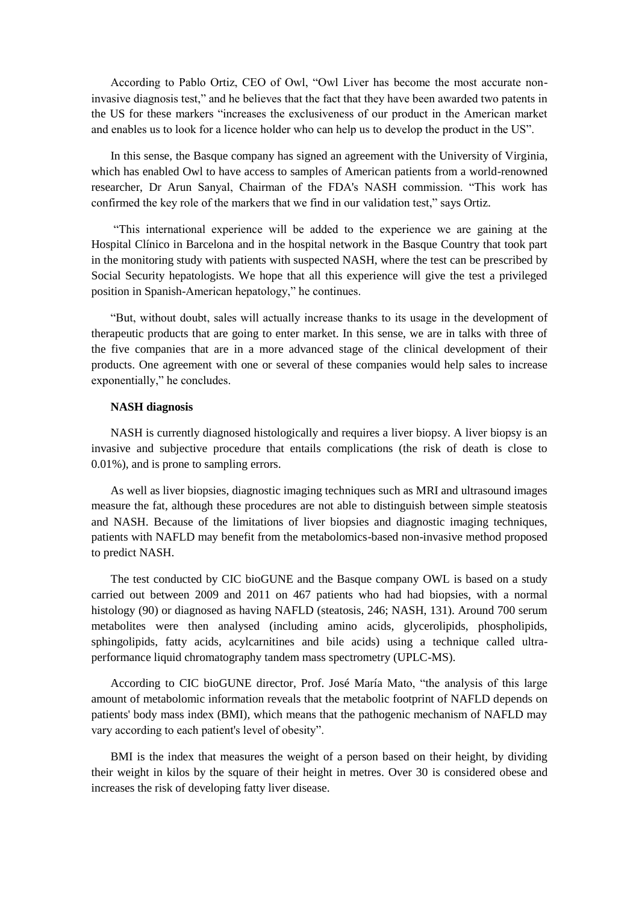According to Pablo Ortiz, CEO of Owl, "Owl Liver has become the most accurate noninvasive diagnosis test," and he believes that the fact that they have been awarded two patents in the US for these markers "increases the exclusiveness of our product in the American market and enables us to look for a licence holder who can help us to develop the product in the US".

In this sense, the Basque company has signed an agreement with the University of Virginia, which has enabled Owl to have access to samples of American patients from a world-renowned researcher, Dr Arun Sanyal, Chairman of the FDA's NASH commission. "This work has confirmed the key role of the markers that we find in our validation test," says Ortiz.

"This international experience will be added to the experience we are gaining at the Hospital Clínico in Barcelona and in the hospital network in the Basque Country that took part in the monitoring study with patients with suspected NASH, where the test can be prescribed by Social Security hepatologists. We hope that all this experience will give the test a privileged position in Spanish-American hepatology," he continues.

"But, without doubt, sales will actually increase thanks to its usage in the development of therapeutic products that are going to enter market. In this sense, we are in talks with three of the five companies that are in a more advanced stage of the clinical development of their products. One agreement with one or several of these companies would help sales to increase exponentially," he concludes.

## **NASH diagnosis**

NASH is currently diagnosed histologically and requires a liver biopsy. A liver biopsy is an invasive and subjective procedure that entails complications (the risk of death is close to 0.01%), and is prone to sampling errors.

As well as liver biopsies, diagnostic imaging techniques such as MRI and ultrasound images measure the fat, although these procedures are not able to distinguish between simple steatosis and NASH. Because of the limitations of liver biopsies and diagnostic imaging techniques, patients with NAFLD may benefit from the metabolomics-based non-invasive method proposed to predict NASH.

The test conducted by CIC bioGUNE and the Basque company OWL is based on a study carried out between 2009 and 2011 on 467 patients who had had biopsies, with a normal histology (90) or diagnosed as having NAFLD (steatosis, 246; NASH, 131). Around 700 serum metabolites were then analysed (including amino acids, glycerolipids, phospholipids, sphingolipids, fatty acids, acylcarnitines and bile acids) using a technique called ultraperformance liquid chromatography tandem mass spectrometry (UPLC-MS).

According to CIC bioGUNE director, Prof. José María Mato, "the analysis of this large amount of metabolomic information reveals that the metabolic footprint of NAFLD depends on patients' body mass index (BMI), which means that the pathogenic mechanism of NAFLD may vary according to each patient's level of obesity".

BMI is the index that measures the weight of a person based on their height, by dividing their weight in kilos by the square of their height in metres. Over 30 is considered obese and increases the risk of developing fatty liver disease.